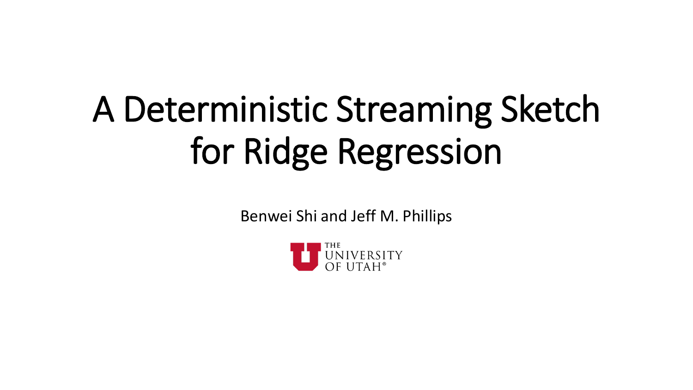# A Deterministic Streaming Sketch for Ridge Regression

Benwei Shi and Jeff M. Phillips

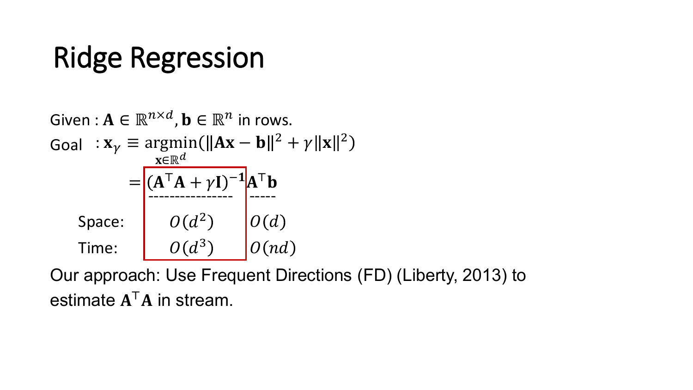## Ridge Regression

Given: 
$$
\mathbf{A} \in \mathbb{R}^{n \times d}
$$
,  $\mathbf{b} \in \mathbb{R}^n$  in rows.  
\nGoal :  $\mathbf{x}_{\gamma} \equiv \operatorname{argmin}(\|\mathbf{A}\mathbf{x} - \mathbf{b}\|^2 + \gamma \|\mathbf{x}\|^2)$   
\n
$$
= \begin{bmatrix} (\mathbf{A}^T \mathbf{A} + \gamma \mathbf{I})^{-1} \mathbf{A}^T \mathbf{b} \\ \text{------------------} \\ 0(d^2) \\ 0(d) \\ 0(nd) \end{bmatrix}
$$
\nSince:  $\begin{aligned} O(d^3) \\ O(d) \\ O(nd) \end{aligned}$ 

Our approach: Use Frequent Directions (FD) (Liberty, 2013) to estimate  $A^TA$  in stream.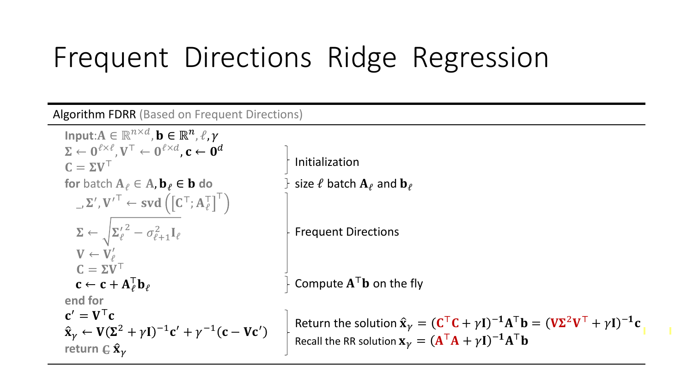## Frequent Directions Ridge Regression

Algorithm FDRR (Based on Frequent Directions)

**Input:** $A \in \mathbb{R}^{n \times d}$ ,  $\mathbf{b} \in \mathbb{R}^n$ ,  $\ell, \gamma$  $\Sigma \leftarrow 0^{\ell \times \ell}, V^{\top} \leftarrow 0^{\ell \times d}, c \leftarrow 0^d$ <br> $C = \Sigma V^{\top}$ **for** batch  $A_{\ell} \in A$ ,  $b_{\ell} \in b$  do **end for**  $\_$   ${\Sigma}^{\prime}$  ,  ${\mathbf {V}^{\prime}}^{\top} \leftarrow {\textbf{svd}}\left(\left[{\mathbf C}^{\top}; {\mathbf A}_{\ell}^{\top}\right]^{\top}\right)$  $\boldsymbol{\Sigma} \leftarrow \sqrt{{\boldsymbol{\Sigma}_{\ell}}^{\prime}}^2 - \sigma^2_{\ell+1} \mathbf{I}_{\ell}$  $V \leftarrow V'_\ell$  $C = \Sigma V^\top$  $\mathbf{c} \leftarrow \mathbf{c} + \mathbf{A}_{\ell}^{\top} \mathbf{b}_{\ell}$  $\mathbf{c}' = \mathbf{V}^\top \mathbf{c}$  $\hat{\mathbf{x}}_{\gamma} \leftarrow \mathbf{V}(\Sigma^2 + \gamma \mathbf{I})^{-1} \mathbf{c}' + \gamma^{-1} (\mathbf{c} - \mathbf{V} \mathbf{c}')$ return  $\boldsymbol{\mathsf{E}}\, \boldsymbol{\hat{\mathsf{x}}}_{\gamma}$ 

Initialization size  $\ell$  batch  $A_{\ell}$  and  $\mathbf{b}_{\ell}$ 

Frequent Directions

Compute  $A^Tb$  on the fly

Return the solution  $\hat{\mathbf{x}}_{\gamma} = (\mathbf{C}^{\top}\mathbf{C} + \gamma \mathbf{I})^{-1}\mathbf{A}^{\top}\mathbf{b} = (\mathbf{V}\mathbf{\Sigma}^2\mathbf{V}^{\top} + \gamma \mathbf{I})^{-1}\mathbf{c}$ Recall the RR solution  $\mathbf{x}_{\gamma} = (\mathbf{A}^{\mathsf{T}} \mathbf{A} + \gamma \mathbf{I})^{-1} \mathbf{A}^{\mathsf{T}} \mathbf{b}$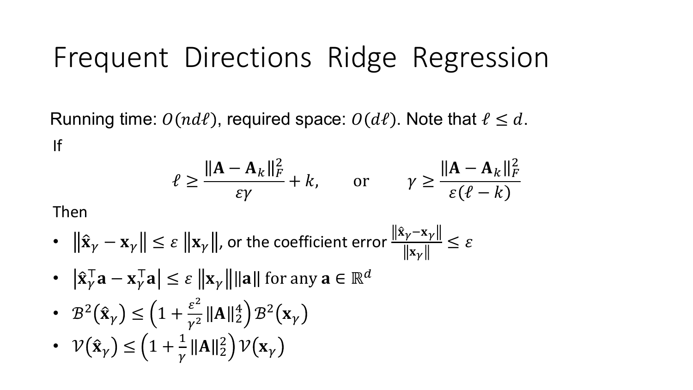### Frequent Directions Ridge Regression

Running time:  $O(nd\ell)$ , required space:  $O(d\ell)$ . Note that  $\ell \leq d$ . If

$$
\ell \ge \frac{\|A - A_k\|_F^2}{\varepsilon \gamma} + k, \quad \text{or} \quad \gamma \ge \frac{\|A - A_k\|_F^2}{\varepsilon (\ell - k)}
$$

Then

• 
$$
\|\hat{\mathbf{x}}_{\gamma} - \mathbf{x}_{\gamma}\| \le \varepsilon \|\mathbf{x}_{\gamma}\|
$$
, or the coefficient error  $\frac{\|\hat{\mathbf{x}}_{\gamma} - \mathbf{x}_{\gamma}\|}{\|\mathbf{x}_{\gamma}\|} \le \varepsilon$ 

- $|\hat{\mathbf{x}}_{\gamma}^{\top} \mathbf{a} \mathbf{x}_{\gamma}^{\top} \mathbf{a}| \leq \varepsilon ||\mathbf{x}_{\gamma}|| ||\mathbf{a}||$  for any  $\mathbf{a} \in \mathbb{R}^{d}$
- $B^2(\hat{x}_\gamma) \leq \left(1 + \frac{\varepsilon^2}{\gamma^2} ||A||_2^4 \right) B^2(x_\gamma)$
- $\mathcal{V}(\hat{\mathbf{x}}_{\gamma}) \leq \left(1 + \frac{1}{\gamma} ||\mathbf{A}||_2^2\right) \mathcal{V}(\mathbf{x}_{\gamma})$